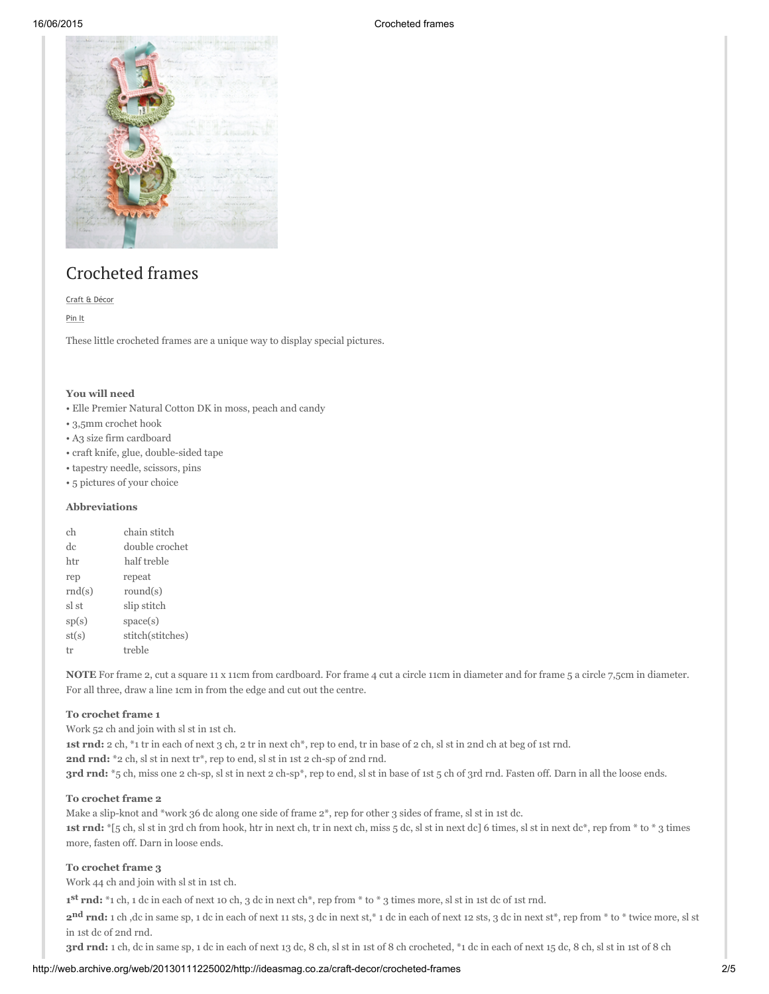#### 16/06/2015 Crocheted frames



# Crocheted frames

Craft & [Décor](http://web.archive.org/web/20130111225002/http://ideasmag.co.za/category/craft-decor/)

[Pin](http://web.archive.org/web/20130111225002/http://pinterest.com/pin/create/button/?url=http%3A%2F%2Fideasmag.co.za%2Fcraft-decor%2Fcrocheted-frames%2F&media=http%3A%2F%2Fideasmag.co.za%2Ffiles%2F2012%2F10%2Ffotolappies-feat.jpg&description=) It

These little crocheted frames are a unique way to display special pictures.

#### You will need

- Elle Premier Natural Cotton DK in moss, peach and candy
- 3,5mm crochet hook
- A3 size firm cardboard
- craft knife, glue, double-sided tape
- tapestry needle, scissors, pins
- 5 pictures of your choice

### Abbreviations

| сh     | chain stitch     |
|--------|------------------|
| de     | double crochet   |
| htr    | half treble      |
| rep    | repeat           |
| rnd(s) | round $(s)$      |
| sl st  | slip stitch      |
| sp(s)  | space(s)         |
| st(s)  | stitch(stitches) |
| tr     | treble           |

NOTE For frame 2, cut a square 11 x 11cm from cardboard. For frame 4 cut a circle 11cm in diameter and for frame 5 a circle 7,5cm in diameter. For all three, draw a line 1cm in from the edge and cut out the centre.

#### To crochet frame 1

Work 52 ch and join with sl st in 1st ch. 1st rnd: 2 ch, \*1 tr in each of next 3 ch, 2 tr in next ch\*, rep to end, tr in base of 2 ch, sl st in 2nd ch at beg of 1st rnd. 2nd rnd: \*2 ch, sl st in next tr\*, rep to end, sl st in 1st 2 ch-sp of 2nd rnd. 3rd rnd: \*5 ch, miss one 2 ch-sp, sl st in next 2 ch-sp\*, rep to end, sl st in base of 1st 5 ch of 3rd rnd. Fasten off. Darn in all the loose ends.

#### To crochet frame 2

Make a slip-knot and \*work 36 dc along one side of frame  $2^*$ , rep for other 3 sides of frame, sl st in 1st dc. 1st rnd:  $*[5 \text{ ch}, 5]$  st in 3rd ch from hook, htr in next ch, tr in next ch, miss  $[5 \text{ dc}, 5]$  st in next dc] 6 times, sl st in next dc\*, rep from \* to \* 3 times more, fasten off. Darn in loose ends.

#### To crochet frame 3

Work 44 ch and join with sl st in 1st ch.

1<sup>st</sup> rnd: \*1 ch, 1 dc in each of next 10 ch, 3 dc in next ch\*, rep from \* to \* 3 times more, sl st in 1st dc of 1st rnd.

2<sup>nd</sup> rnd: 1 ch ,dc in same sp, 1 dc in each of next 11 sts, 3 dc in next st,\* 1 dc in each of next 12 sts, 3 dc in next st\*, rep from \* to \* twice more, sl st in 1st dc of 2nd rnd.

3rd rnd: 1 ch, dc in same sp, 1 dc in each of next 13 dc, 8 ch, sl st in 1st of 8 ch crocheted, \*1 dc in each of next 15 dc, 8 ch, sl st in 1st of 8 ch

#### http://web.archive.org/web/20130111225002/http://ideasmag.co.za/craft-decor/crocheted-frames 2/5